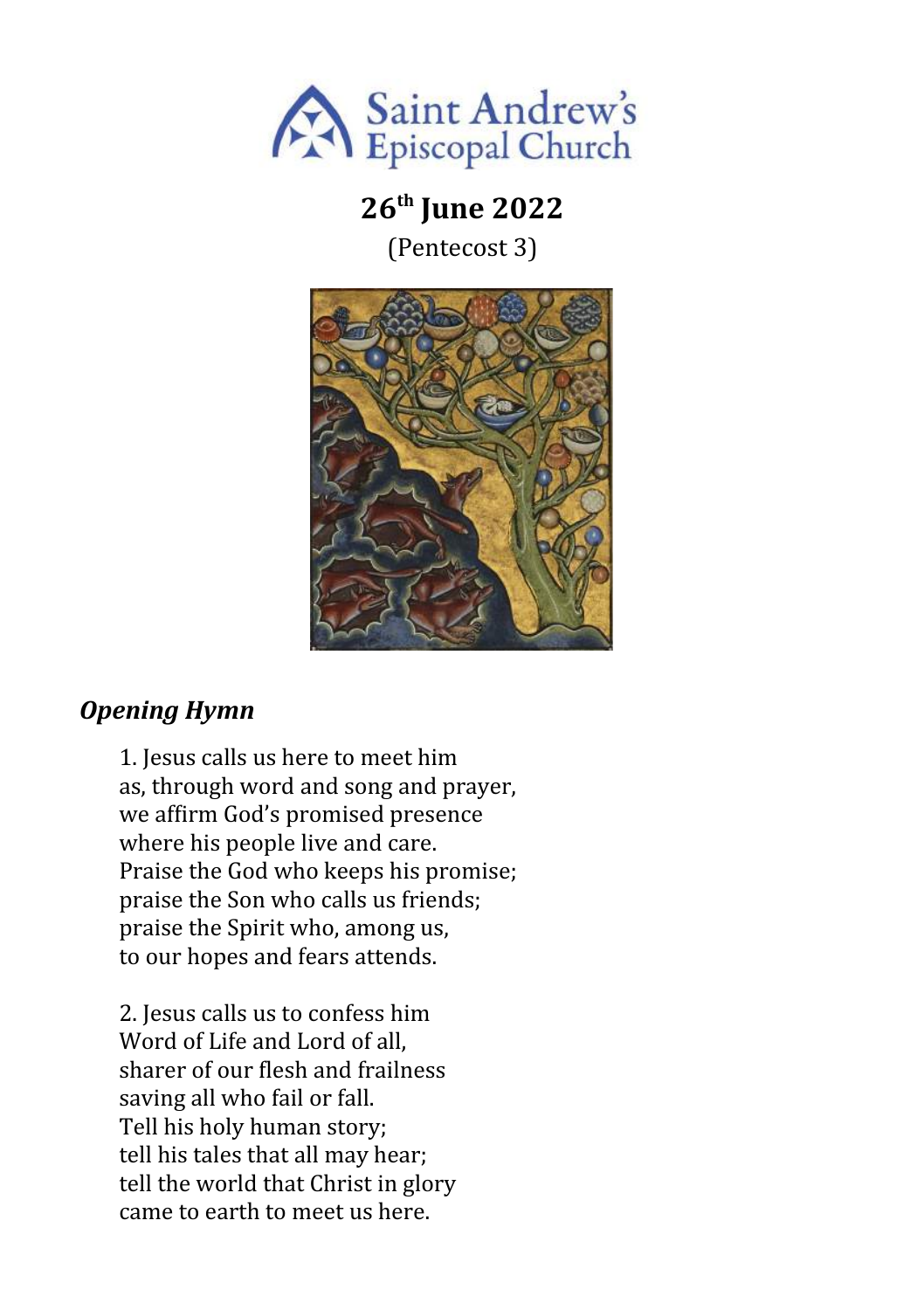

# **26th June 2022**

(Pentecost 3)



## *Opening Hymn*

1. Jesus calls us here to meet him as, through word and song and prayer, we affirm God's promised presence where his people live and care. Praise the God who keeps his promise; praise the Son who calls us friends; praise the Spirit who, among us, to our hopes and fears attends.

2. Jesus calls us to confess him Word of Life and Lord of all, sharer of our flesh and frailness saving all who fail or fall. Tell his holy human story; tell his tales that all may hear; tell the world that Christ in glory came to earth to meet us here.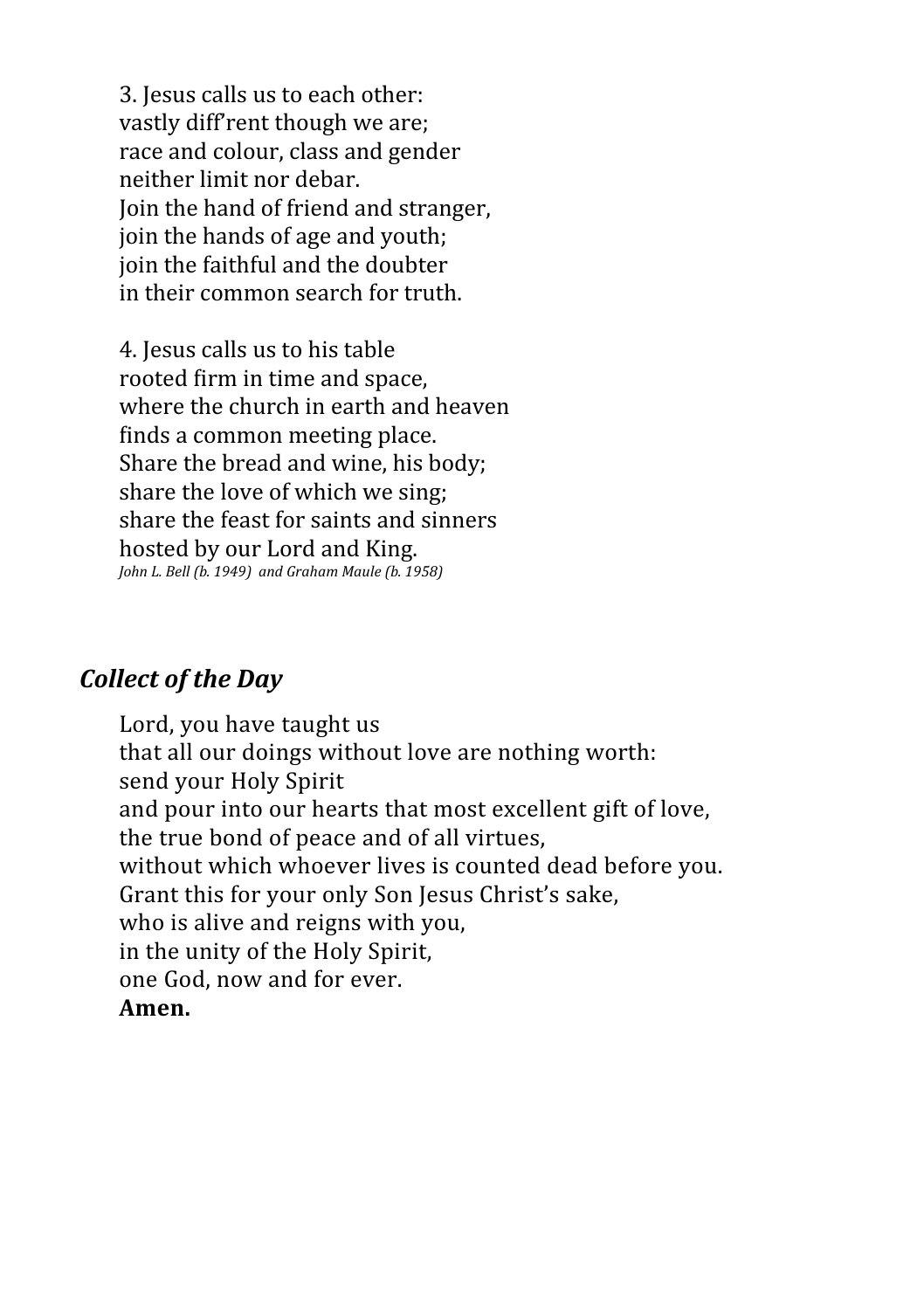3. Jesus calls us to each other: vastly diff'rent though we are; race and colour, class and gender neither limit nor debar. Join the hand of friend and stranger, join the hands of age and youth; join the faithful and the doubter in their common search for truth.

4. Jesus calls us to his table rooted firm in time and space, where the church in earth and heaven finds a common meeting place. Share the bread and wine, his body; share the love of which we sing; share the feast for saints and sinners hosted by our Lord and King. *John L. Bell (b. 1949) and Graham Maule (b. 1958)*

## *Collect of the Day*

Lord, you have taught us that all our doings without love are nothing worth: send your Holy Spirit and pour into our hearts that most excellent gift of love, the true bond of peace and of all virtues, without which whoever lives is counted dead before you. Grant this for your only Son Jesus Christ's sake, who is alive and reigns with you, in the unity of the Holy Spirit, one God, now and for ever. **Amen.**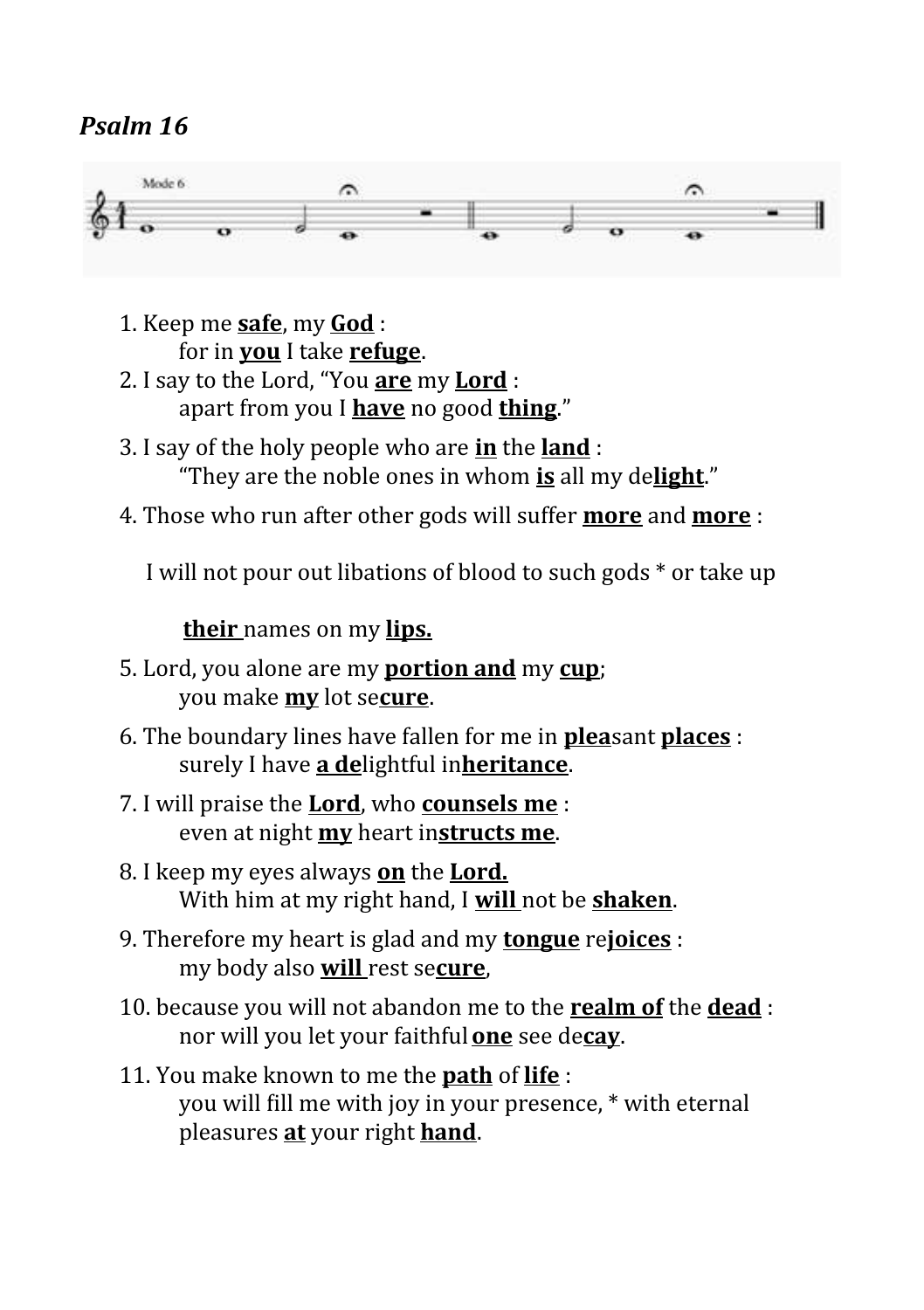## *Psalm 16*



- 1. Keep me **safe**, my **God** : for in **you** I take **refuge**.
- 2. I say to the Lord, "You **are** my **Lord** : apart from you I **have** no good **thing**."
- 3. I say of the holy people who are **in** the **land** : "They are the noble ones in whom **is** all my de**light**."
- 4. Those who run after other gods will suffer **more** and **more** :

I will not pour out libations of blood to such gods \* or take up

### **their** names on my **lips.**

- 5. Lord, you alone are my **portion and** my **cup**; you make **my** lot se**cure**.
- 6. The boundary lines have fallen for me in **plea**sant **places** : surely I have **a de**lightful in**heritance**.
- 7. I will praise the **Lord**, who **counsels me** : even at night **my** heart in**structs me**.
- 8. I keep my eyes always **on** the **Lord.** With him at my right hand, I **will** not be **shaken**.
- 9. Therefore my heart is glad and my **tongue** re**joices** : my body also **will** rest se**cure**,
- 10. because you will not abandon me to the **realm of** the **dead** : nor will you let your faithful**one** see de**cay**.

## 11. You make known to me the **path** of **life** : you will fill me with joy in your presence, \* with eternal pleasures **at** your right **hand**.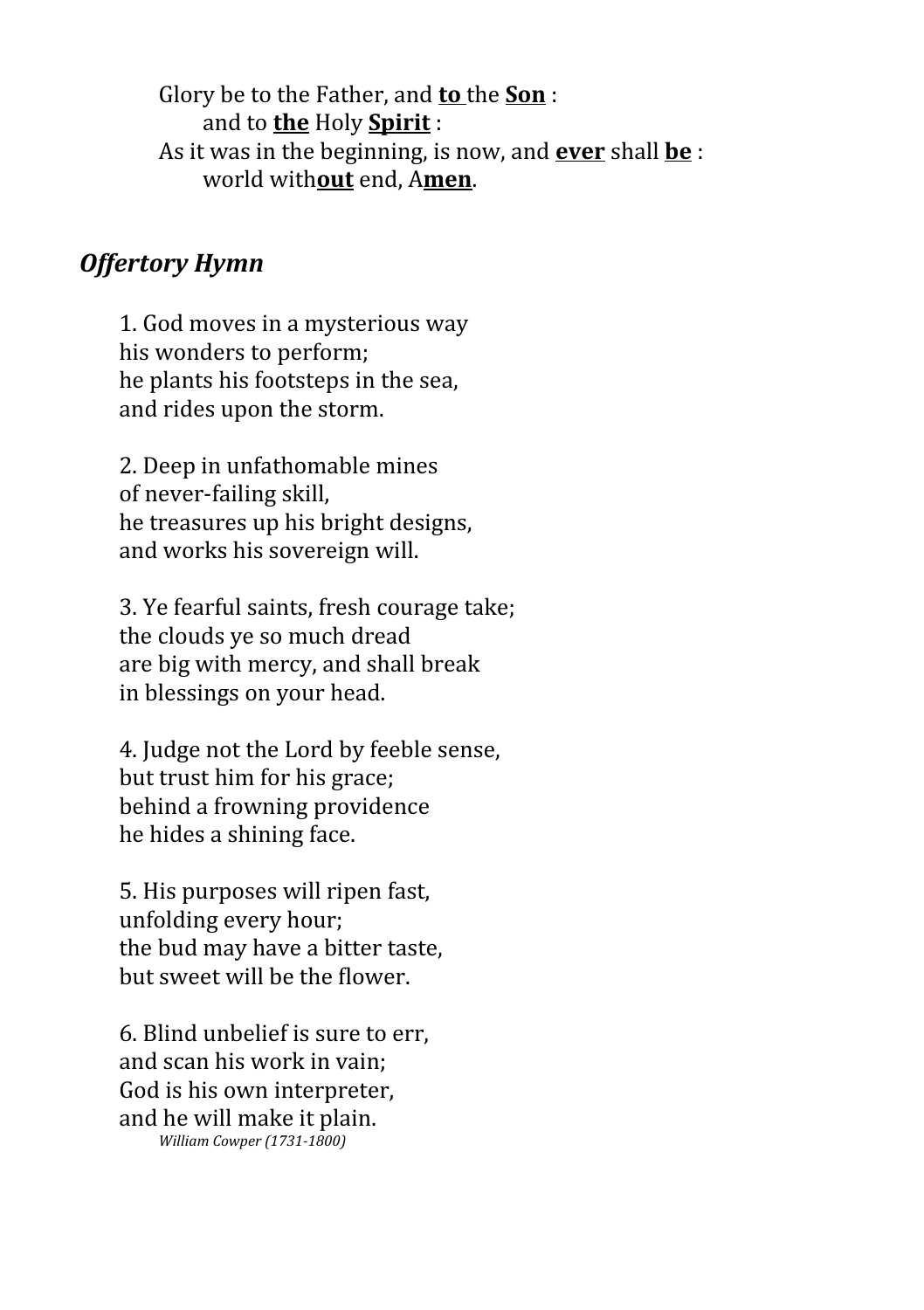Glory be to the Father, and **to** the **Son** : and to **the** Holy **Spirit** : As it was in the beginning, is now, and **ever** shall **be** : world with**out** end, A**men**.

## *Offertory Hymn*

1. God moves in a mysterious way his wonders to perform; he plants his footsteps in the sea, and rides upon the storm.

2. Deep in unfathomable mines of never-failing skill, he treasures up his bright designs, and works his sovereign will.

3. Ye fearful saints, fresh courage take; the clouds ye so much dread are big with mercy, and shall break in blessings on your head.

4. Judge not the Lord by feeble sense, but trust him for his grace; behind a frowning providence he hides a shining face.

5. His purposes will ripen fast, unfolding every hour; the bud may have a bitter taste, but sweet will be the flower.

6. Blind unbelief is sure to err, and scan his work in vain; God is his own interpreter, and he will make it plain. *William Cowper (1731-1800)*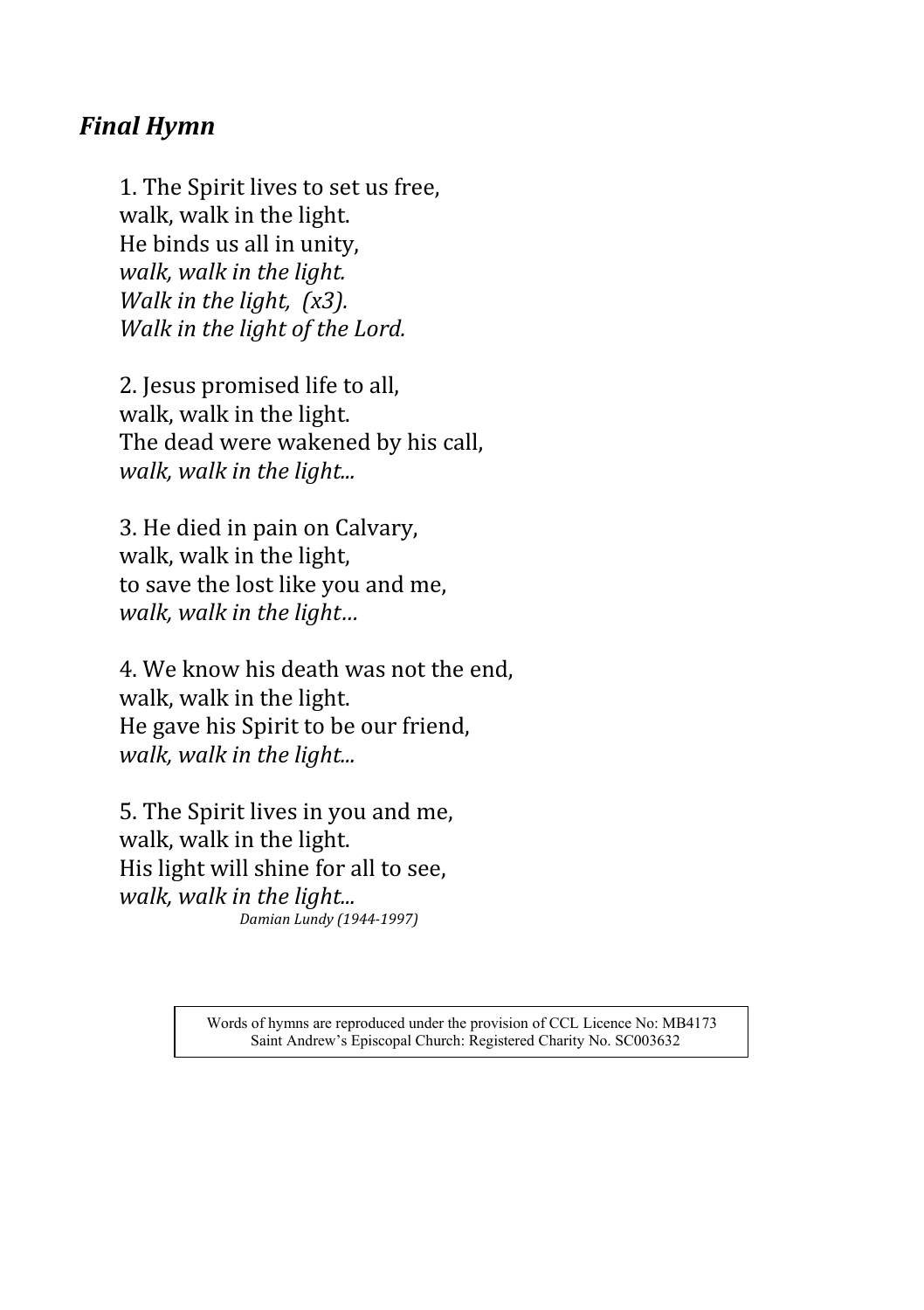## *Final Hymn*

1. The Spirit lives to set us free, walk, walk in the light. He binds us all in unity, *walk, walk in the light. Walk in the light, (x3). Walk in the light of the Lord.*

2. Jesus promised life to all, walk, walk in the light. The dead were wakened by his call, *walk, walk in the light...*

3. He died in pain on Calvary, walk, walk in the light, to save the lost like you and me, *walk, walk in the light…*

4. We know his death was not the end, walk, walk in the light. He gave his Spirit to be our friend, *walk, walk in the light...*

5. The Spirit lives in you and me, walk, walk in the light. His light will shine for all to see, *walk, walk in the light... Damian Lundy (1944-1997)*

> Words of hymns are reproduced under the provision of CCL Licence No: MB4173 Saint Andrew's Episcopal Church: Registered Charity No. SC003632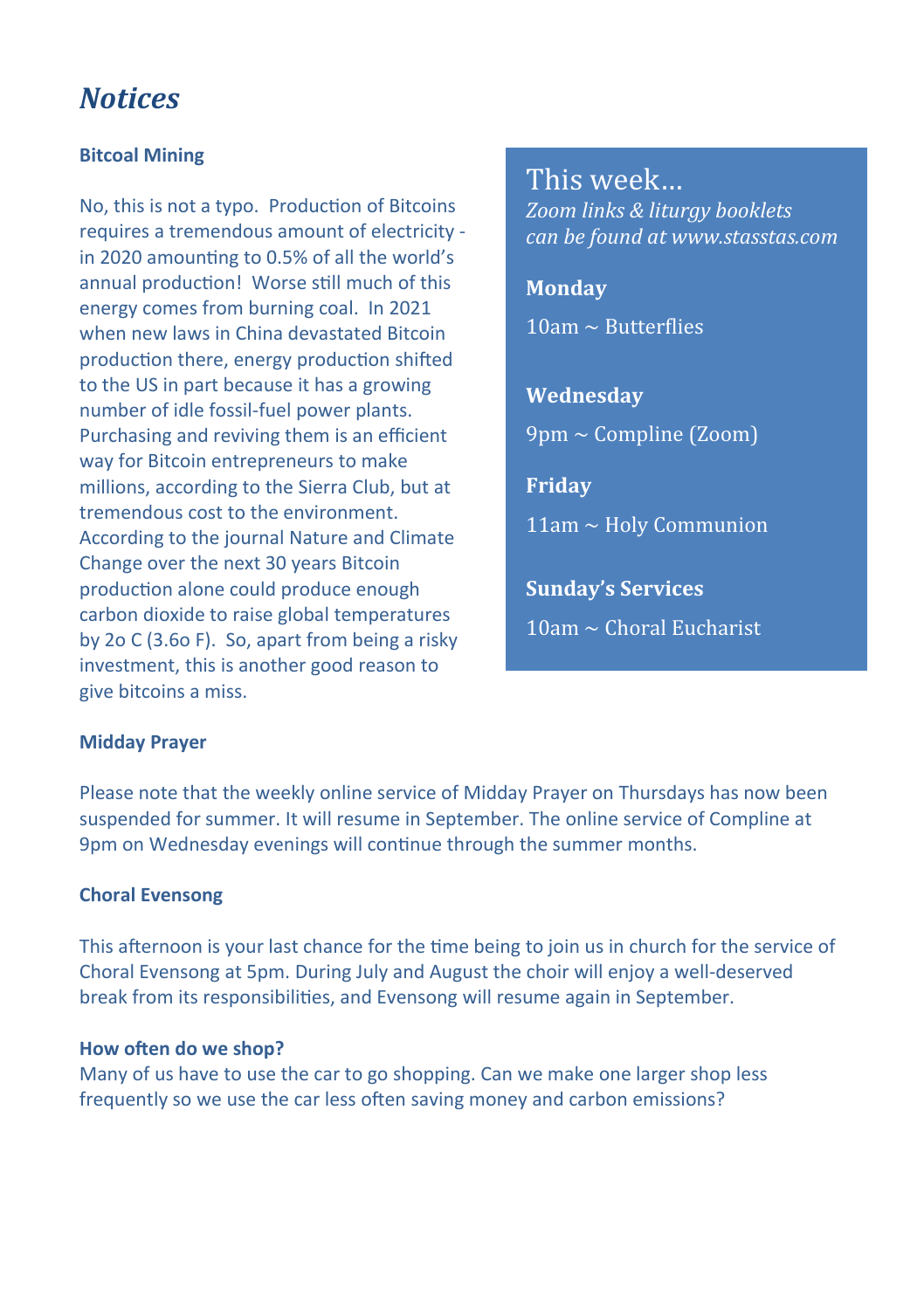## *Notices*

### **Bitcoal Mining**

No, this is not a typo. Production of Bitcoins requires a tremendous amount of electricity in 2020 amounting to 0.5% of all the world's annual production! Worse still much of this energy comes from burning coal. In 2021 when new laws in China devastated Bitcoin production there, energy production shifted to the US in part because it has a growing number of idle fossil-fuel power plants. Purchasing and reviving them is an efficient way for Bitcoin entrepreneurs to make millions, according to the Sierra Club, but at tremendous cost to the environment. According to the journal Nature and Climate Change over the next 30 years Bitcoin production alone could produce enough carbon dioxide to raise global temperatures by 2o C (3.6o F). So, apart from being a risky investment, this is another good reason to give bitcoins a miss.

This week… *Zoom links & liturgy booklets can be found at www.stasstas.com*

**Monday**  $10$ am ~ Butterflies

**Wednesday**

 $9$ pm ~ Compline (Zoom)

**Friday**

11am ~ Holy Communion

**Sunday's Services**  $10$ am ~ Choral Eucharist

### **Midday Prayer**

Please note that the weekly online service of Midday Prayer on Thursdays has now been suspended for summer. It will resume in September. The online service of Compline at 9pm on Wednesday evenings will continue through the summer months.

### **Choral Evensong**

This afternoon is your last chance for the time being to join us in church for the service of Choral Evensong at 5pm. During July and August the choir will enjoy a well-deserved break from its responsibilities, and Evensong will resume again in September.

### **How often do we shop?**

Many of us have to use the car to go shopping. Can we make one larger shop less frequently so we use the car less often saving money and carbon emissions?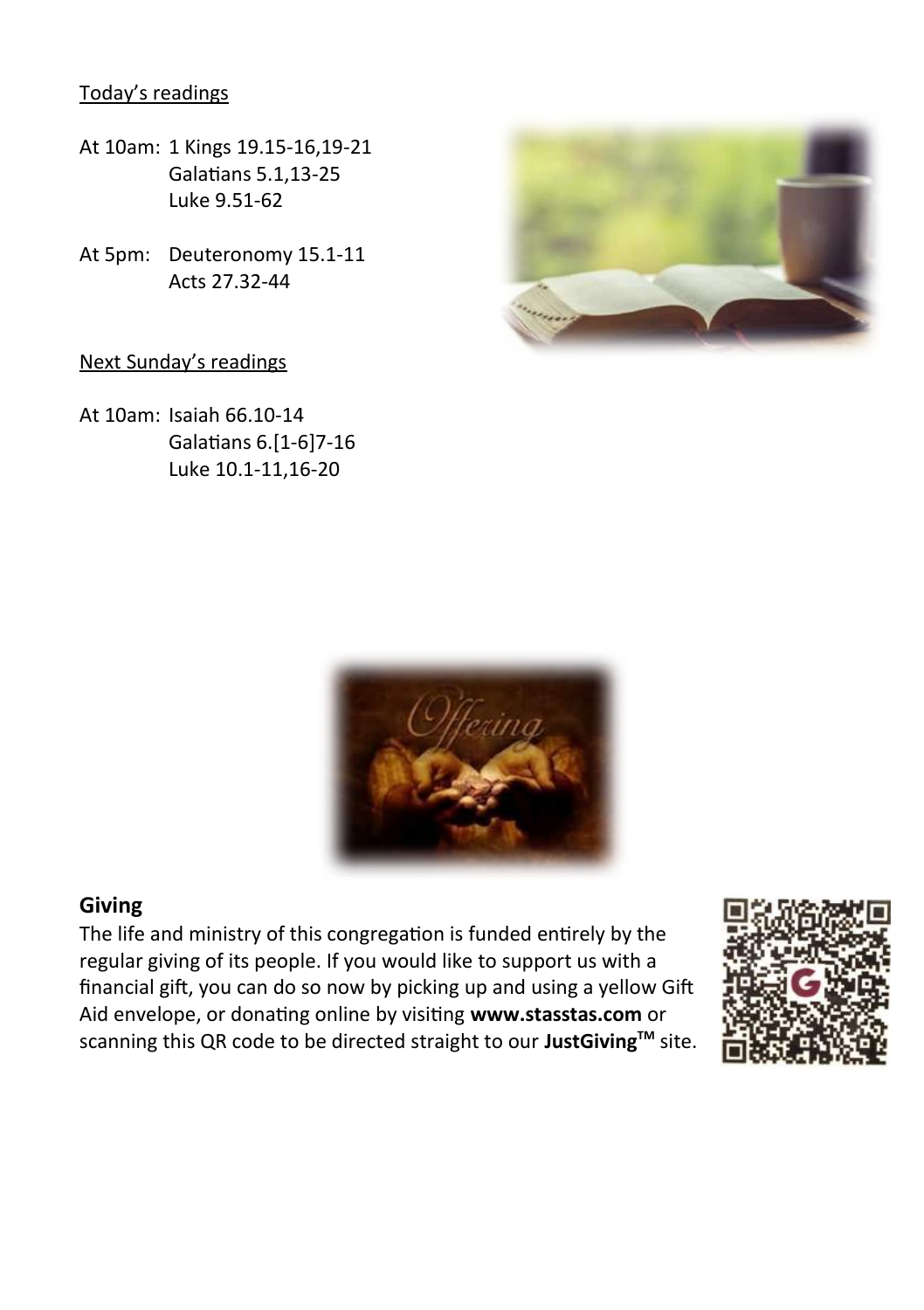Today's readings

- At 10am: 1 Kings 19.15-16,19-21 Galatians 5.1,13-25 Luke 9.51-62
- At 5pm: Deuteronomy 15.1-11 Acts 27.32-44

### Next Sunday's readings

At 10am: Isaiah 66.10-14 Galatians 6.[1-6]7-16 Luke 10.1-11,16-20





### **Giving**

The life and ministry of this congregation is funded entirely by the regular giving of its people. If you would like to support us with a financial gift, you can do so now by picking up and using a yellow Gift Aid envelope, or donating online by visiting **www.stasstas.com** or scanning this QR code to be directed straight to our **JustGivingTM** site.